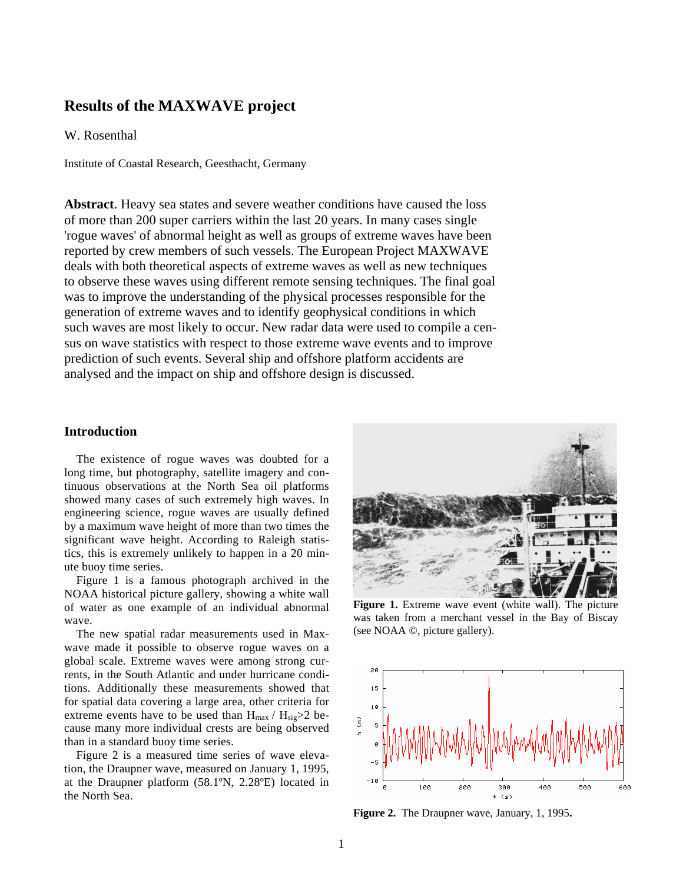# **Results of the MAXWAVE project**

W. Rosenthal

Institute of Coastal Research, Geesthacht, Germany

**Abstract**. Heavy sea states and severe weather conditions have caused the loss of more than 200 super carriers within the last 20 years. In many cases single 'rogue waves' of abnormal height as well as groups of extreme waves have been reported by crew members of such vessels. The European Project MAXWAVE deals with both theoretical aspects of extreme waves as well as new techniques to observe these waves using different remote sensing techniques. The final goal was to improve the understanding of the physical processes responsible for the generation of extreme waves and to identify geophysical conditions in which such waves are most likely to occur. New radar data were used to compile a census on wave statistics with respect to those extreme wave events and to improve prediction of such events. Several ship and offshore platform accidents are analysed and the impact on ship and offshore design is discussed.

# **Introduction**

The existence of rogue waves was doubted for a long time, but photography, satellite imagery and continuous observations at the North Sea oil platforms showed many cases of such extremely high waves. In engineering science, rogue waves are usually defined by a maximum wave height of more than two times the significant wave height. According to Raleigh statistics, this is extremely unlikely to happen in a 20 minute buoy time series.

Figure 1 is a famous photograph archived in the NOAA historical picture gallery, showing a white wall of water as one example of an individual abnormal wave.

The new spatial radar measurements used in Maxwave made it possible to observe rogue waves on a global scale. Extreme waves were among strong currents, in the South Atlantic and under hurricane conditions. Additionally these measurements showed that for spatial data covering a large area, other criteria for extreme events have to be used than  $H_{max} / H_{sig} > 2$  because many more individual crests are being observed than in a standard buoy time series.

Figure 2 is a measured time series of wave elevation, the Draupner wave, measured on January 1, 1995, at the Draupner platform (58.1ºN, 2.28ºE) located in the North Sea.



**Figure 1.** Extreme wave event (white wall). The picture was taken from a merchant vessel in the Bay of Biscay (see NOAA ©, picture gallery).



**Figure 2.** The Draupner wave, January, 1, 1995**.**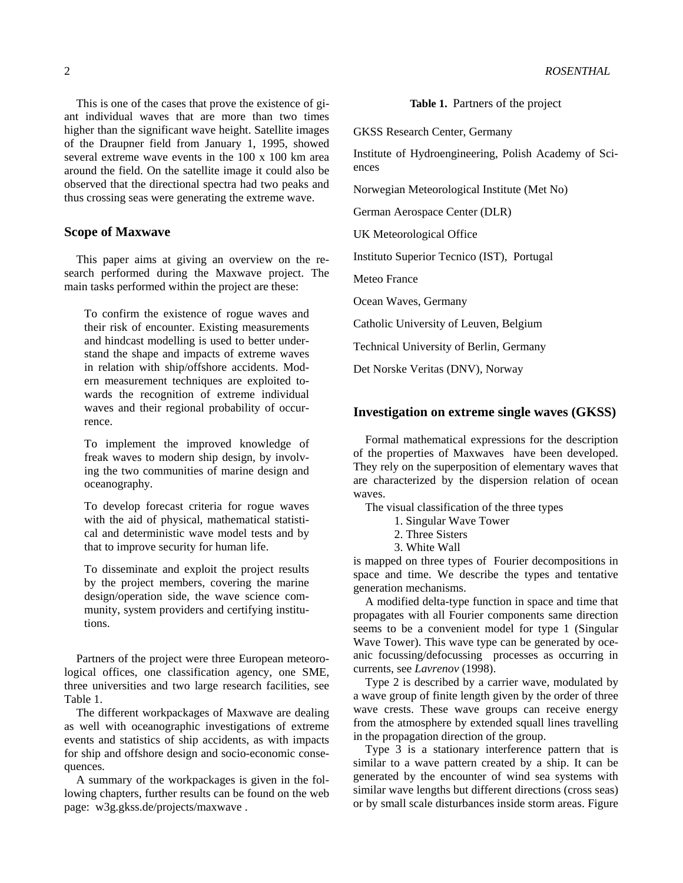This is one of the cases that prove the existence of giant individual waves that are more than two times higher than the significant wave height. Satellite images of the Draupner field from January 1, 1995, showed several extreme wave events in the 100 x 100 km area around the field. On the satellite image it could also be observed that the directional spectra had two peaks and thus crossing seas were generating the extreme wave.

### **Scope of Maxwave**

This paper aims at giving an overview on the research performed during the Maxwave project. The main tasks performed within the project are these:

To confirm the existence of rogue waves and their risk of encounter. Existing measurements and hindcast modelling is used to better understand the shape and impacts of extreme waves in relation with ship/offshore accidents. Modern measurement techniques are exploited towards the recognition of extreme individual waves and their regional probability of occurrence.

To implement the improved knowledge of freak waves to modern ship design, by involving the two communities of marine design and oceanography.

To develop forecast criteria for rogue waves with the aid of physical, mathematical statistical and deterministic wave model tests and by that to improve security for human life.

To disseminate and exploit the project results by the project members, covering the marine design/operation side, the wave science community, system providers and certifying institutions.

Partners of the project were three European meteorological offices, one classification agency, one SME, three universities and two large research facilities, see Table 1.

The different workpackages of Maxwave are dealing as well with oceanographic investigations of extreme events and statistics of ship accidents, as with impacts for ship and offshore design and socio-economic consequences.

A summary of the workpackages is given in the following chapters, further results can be found on the web page: w3g.gkss.de/projects/maxwave .

**Table 1.** Partners of the project

GKSS Research Center, Germany

Institute of Hydroengineering, Polish Academy of Sciences

Norwegian Meteorological Institute (Met No)

German Aerospace Center (DLR)

UK Meteorological Office

Instituto Superior Tecnico (IST), Portugal

Meteo France

Ocean Waves, Germany

Catholic University of Leuven, Belgium

Technical University of Berlin, Germany

Det Norske Veritas (DNV), Norway

#### **Investigation on extreme single waves (GKSS)**

Formal mathematical expressions for the description of the properties of Maxwaves have been developed. They rely on the superposition of elementary waves that are characterized by the dispersion relation of ocean waves.

The visual classification of the three types

- 1. Singular Wave Tower
- 2. Three Sisters
- 3. White Wall

is mapped on three types of Fourier decompositions in space and time. We describe the types and tentative generation mechanisms.

A modified delta-type function in space and time that propagates with all Fourier components same direction seems to be a convenient model for type 1 (Singular Wave Tower). This wave type can be generated by oceanic focussing/defocussing processes as occurring in currents, see *Lavrenov* (1998).

Type 2 is described by a carrier wave, modulated by a wave group of finite length given by the order of three wave crests. These wave groups can receive energy from the atmosphere by extended squall lines travelling in the propagation direction of the group.

Type 3 is a stationary interference pattern that is similar to a wave pattern created by a ship. It can be generated by the encounter of wind sea systems with similar wave lengths but different directions (cross seas) or by small scale disturbances inside storm areas. Figure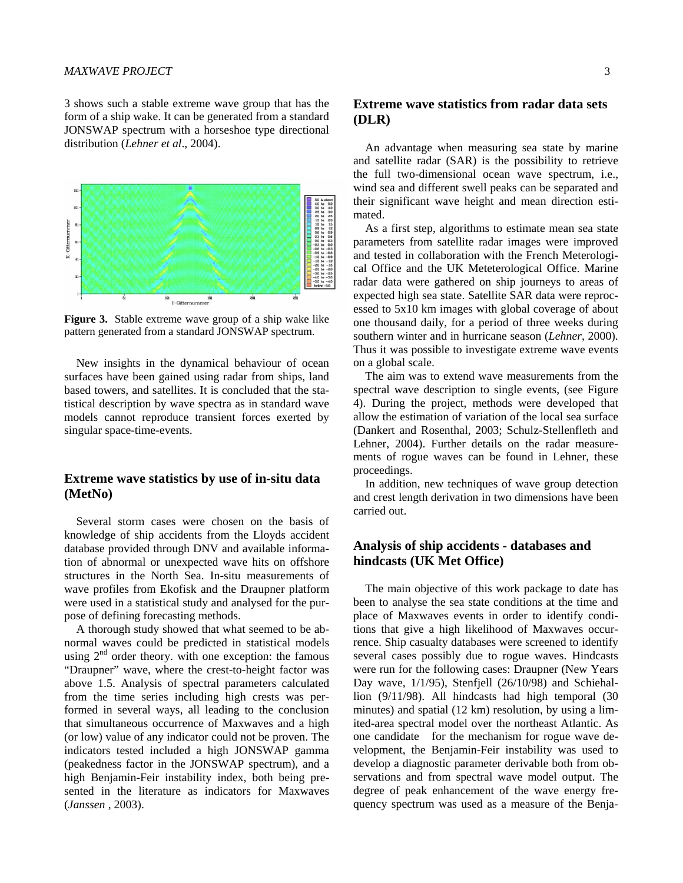#### *MAXWAVE PROJECT* 3

3 shows such a stable extreme wave group that has the form of a ship wake. It can be generated from a standard JONSWAP spectrum with a horseshoe type directional distribution (*Lehner et al*., 2004).



**Figure 3.** Stable extreme wave group of a ship wake like pattern generated from a standard JONSWAP spectrum.

New insights in the dynamical behaviour of ocean surfaces have been gained using radar from ships, land based towers, and satellites. It is concluded that the statistical description by wave spectra as in standard wave models cannot reproduce transient forces exerted by singular space-time-events.

# **Extreme wave statistics by use of in-situ data (MetNo)**

Several storm cases were chosen on the basis of knowledge of ship accidents from the Lloyds accident database provided through DNV and available information of abnormal or unexpected wave hits on offshore structures in the North Sea. In-situ measurements of wave profiles from Ekofisk and the Draupner platform were used in a statistical study and analysed for the purpose of defining forecasting methods.

A thorough study showed that what seemed to be abnormal waves could be predicted in statistical models using  $2<sup>nd</sup>$  order theory. with one exception: the famous "Draupner" wave, where the crest-to-height factor was above 1.5. Analysis of spectral parameters calculated from the time series including high crests was performed in several ways, all leading to the conclusion that simultaneous occurrence of Maxwaves and a high (or low) value of any indicator could not be proven. The indicators tested included a high JONSWAP gamma (peakedness factor in the JONSWAP spectrum), and a high Benjamin-Feir instability index, both being presented in the literature as indicators for Maxwaves (*Janssen* , 2003).

# **Extreme wave statistics from radar data sets (DLR)**

An advantage when measuring sea state by marine and satellite radar (SAR) is the possibility to retrieve the full two-dimensional ocean wave spectrum, i.e., wind sea and different swell peaks can be separated and their significant wave height and mean direction estimated.

As a first step, algorithms to estimate mean sea state parameters from satellite radar images were improved and tested in collaboration with the French Meterological Office and the UK Meteterological Office. Marine radar data were gathered on ship journeys to areas of expected high sea state. Satellite SAR data were reprocessed to 5x10 km images with global coverage of about one thousand daily, for a period of three weeks during southern winter and in hurricane season (*Lehner*, 2000). Thus it was possible to investigate extreme wave events on a global scale.

The aim was to extend wave measurements from the spectral wave description to single events, (see Figure 4). During the project, methods were developed that allow the estimation of variation of the local sea surface (Dankert and Rosenthal, 2003; Schulz-Stellenfleth and Lehner, 2004). Further details on the radar measurements of rogue waves can be found in Lehner, these proceedings.

In addition, new techniques of wave group detection and crest length derivation in two dimensions have been carried out.

# **Analysis of ship accidents - databases and hindcasts (UK Met Office)**

The main objective of this work package to date has been to analyse the sea state conditions at the time and place of Maxwaves events in order to identify conditions that give a high likelihood of Maxwaves occurrence. Ship casualty databases were screened to identify several cases possibly due to rogue waves. Hindcasts were run for the following cases: Draupner (New Years Day wave,  $1/1/95$ ), Stenfjell (26/10/98) and Schiehallion (9/11/98). All hindcasts had high temporal (30 minutes) and spatial (12 km) resolution, by using a limited-area spectral model over the northeast Atlantic. As one candidate for the mechanism for rogue wave development, the Benjamin-Feir instability was used to develop a diagnostic parameter derivable both from observations and from spectral wave model output. The degree of peak enhancement of the wave energy frequency spectrum was used as a measure of the Benja-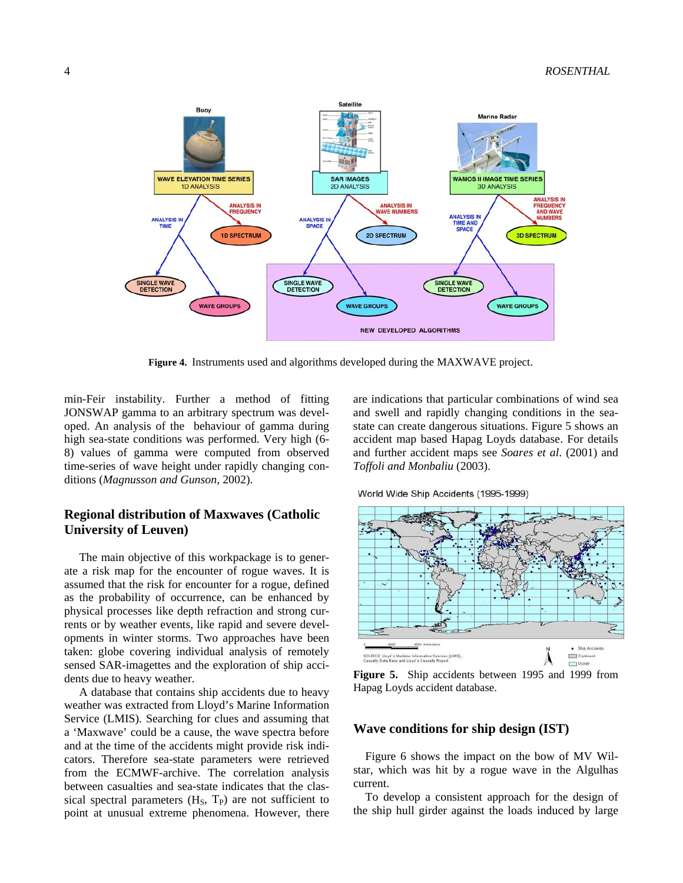

**Figure 4.** Instruments used and algorithms developed during the MAXWAVE project.

min-Feir instability. Further a method of fitting JONSWAP gamma to an arbitrary spectrum was developed. An analysis of the behaviour of gamma during high sea-state conditions was performed. Very high (6- 8) values of gamma were computed from observed time-series of wave height under rapidly changing conditions (*Magnusson and Gunson*, 2002).

# **Regional distribution of Maxwaves (Catholic University of Leuven)**

 The main objective of this workpackage is to generate a risk map for the encounter of rogue waves. It is assumed that the risk for encounter for a rogue, defined as the probability of occurrence, can be enhanced by physical processes like depth refraction and strong currents or by weather events, like rapid and severe developments in winter storms. Two approaches have been taken: globe covering individual analysis of remotely sensed SAR-imagettes and the exploration of ship accidents due to heavy weather.

 A database that contains ship accidents due to heavy weather was extracted from Lloyd's Marine Information Service (LMIS). Searching for clues and assuming that a 'Maxwave' could be a cause, the wave spectra before and at the time of the accidents might provide risk indicators. Therefore sea-state parameters were retrieved from the ECMWF-archive. The correlation analysis between casualties and sea-state indicates that the classical spectral parameters  $(H<sub>S</sub>, T<sub>P</sub>)$  are not sufficient to point at unusual extreme phenomena. However, there are indications that particular combinations of wind sea and swell and rapidly changing conditions in the seastate can create dangerous situations. Figure 5 shows an accident map based Hapag Loyds database. For details and further accident maps see *Soares et al*. (2001) and *Toffoli and Monbaliu* (2003).

World Wide Ship Accidents (1995-1999)



**Figure 5.** Ship accidents between 1995 and 1999 from Hapag Loyds accident database.

### **Wave conditions for ship design (IST)**

Figure 6 shows the impact on the bow of MV Wilstar, which was hit by a rogue wave in the Algulhas current.

To develop a consistent approach for the design of the ship hull girder against the loads induced by large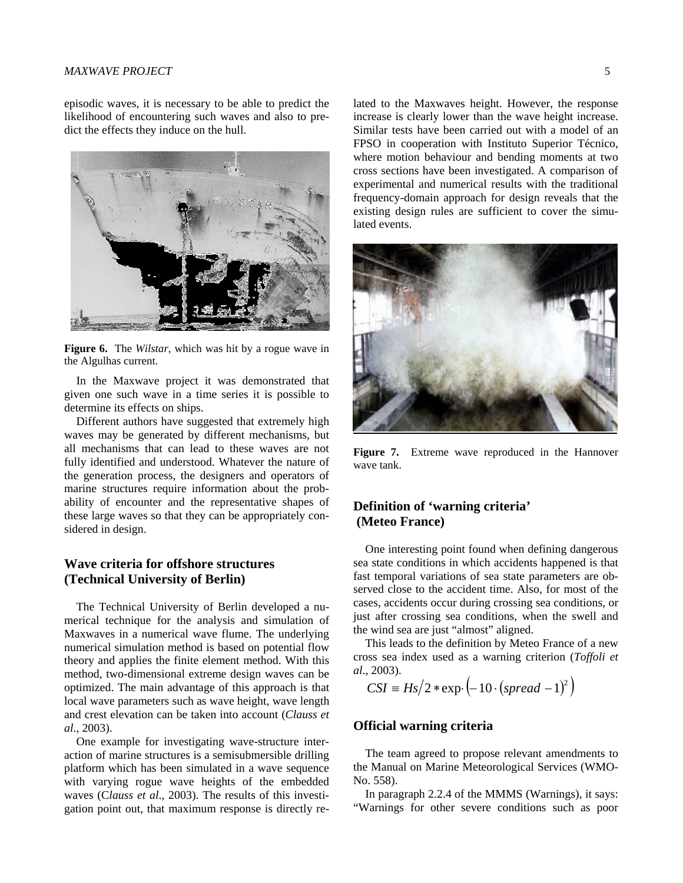#### *MAXWAVE PROJECT* 5

episodic waves, it is necessary to be able to predict the likelihood of encountering such waves and also to predict the effects they induce on the hull.



**Figure 6.** The *Wilstar*, which was hit by a rogue wave in the Algulhas current.

In the Maxwave project it was demonstrated that given one such wave in a time series it is possible to determine its effects on ships.

Different authors have suggested that extremely high waves may be generated by different mechanisms, but all mechanisms that can lead to these waves are not fully identified and understood. Whatever the nature of the generation process, the designers and operators of marine structures require information about the probability of encounter and the representative shapes of these large waves so that they can be appropriately considered in design.

# **Wave criteria for offshore structures (Technical University of Berlin)**

The Technical University of Berlin developed a numerical technique for the analysis and simulation of Maxwaves in a numerical wave flume. The underlying numerical simulation method is based on potential flow theory and applies the finite element method. With this method, two-dimensional extreme design waves can be optimized. The main advantage of this approach is that local wave parameters such as wave height, wave length and crest elevation can be taken into account (*Clauss et al*., 2003).

One example for investigating wave-structure interaction of marine structures is a semisubmersible drilling platform which has been simulated in a wave sequence with varying rogue wave heights of the embedded waves (C*lauss et al*., 2003). The results of this investigation point out, that maximum response is directly related to the Maxwaves height. However, the response increase is clearly lower than the wave height increase. Similar tests have been carried out with a model of an FPSO in cooperation with Instituto Superior Técnico, where motion behaviour and bending moments at two cross sections have been investigated. A comparison of experimental and numerical results with the traditional frequency-domain approach for design reveals that the existing design rules are sufficient to cover the simulated events.



**Figure 7.** Extreme wave reproduced in the Hannover wave tank.

# **Definition of 'warning criteria' (Meteo France)**

One interesting point found when defining dangerous sea state conditions in which accidents happened is that fast temporal variations of sea state parameters are observed close to the accident time. Also, for most of the cases, accidents occur during crossing sea conditions, or just after crossing sea conditions, when the swell and the wind sea are just "almost" aligned.

This leads to the definition by Meteo France of a new cross sea index used as a warning criterion (*Toffoli et al*., 2003).

$$
CSI \equiv Hs/2 \cdot \exp\left(-10 \cdot (spread - 1)^2\right)
$$

### **Official warning criteria**

The team agreed to propose relevant amendments to the Manual on Marine Meteorological Services (WMO-No. 558).

In paragraph 2.2.4 of the MMMS (Warnings), it says: "Warnings for other severe conditions such as poor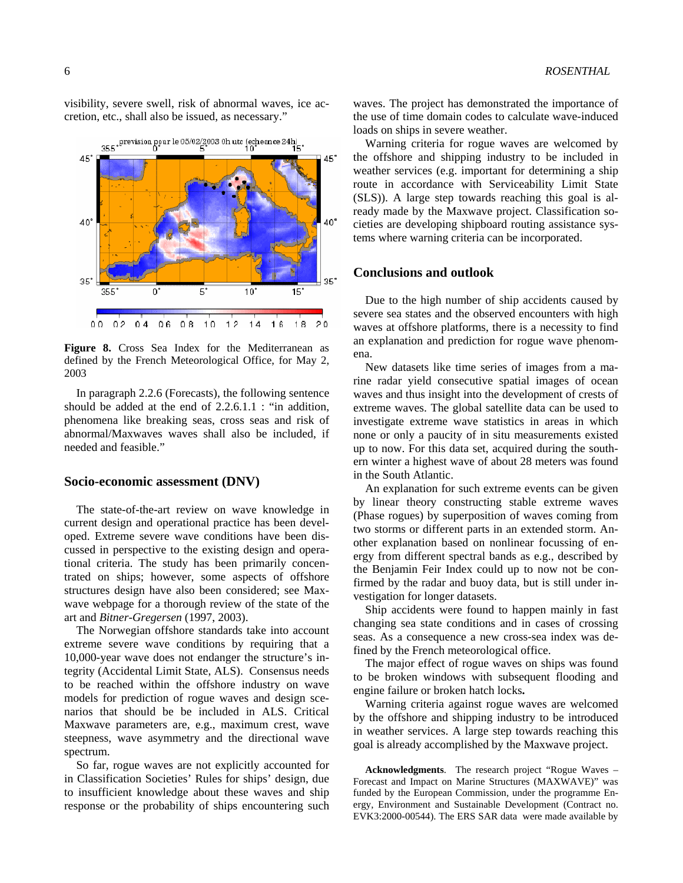visibility, severe swell, risk of abnormal waves, ice accretion, etc., shall also be issued, as necessary."



**Figure 8.** Cross Sea Index for the Mediterranean as defined by the French Meteorological Office, for May 2, 2003

In paragraph 2.2.6 (Forecasts), the following sentence should be added at the end of 2.2.6.1.1 : "in addition, phenomena like breaking seas, cross seas and risk of abnormal/Maxwaves waves shall also be included, if needed and feasible."

#### **Socio-economic assessment (DNV)**

The state-of-the-art review on wave knowledge in current design and operational practice has been developed. Extreme severe wave conditions have been discussed in perspective to the existing design and operational criteria. The study has been primarily concentrated on ships; however, some aspects of offshore structures design have also been considered; see Maxwave webpage for a thorough review of the state of the art and *Bitner-Gregersen* (1997, 2003).

The Norwegian offshore standards take into account extreme severe wave conditions by requiring that a 10,000-year wave does not endanger the structure's integrity (Accidental Limit State, ALS). Consensus needs to be reached within the offshore industry on wave models for prediction of rogue waves and design scenarios that should be be included in ALS. Critical Maxwave parameters are, e.g., maximum crest, wave steepness, wave asymmetry and the directional wave spectrum.

So far, rogue waves are not explicitly accounted for in Classification Societies' Rules for ships' design, due to insufficient knowledge about these waves and ship response or the probability of ships encountering such

waves. The project has demonstrated the importance of the use of time domain codes to calculate wave-induced loads on ships in severe weather.

Warning criteria for rogue waves are welcomed by the offshore and shipping industry to be included in weather services (e.g. important for determining a ship route in accordance with Serviceability Limit State (SLS)). A large step towards reaching this goal is already made by the Maxwave project. Classification societies are developing shipboard routing assistance systems where warning criteria can be incorporated.

### **Conclusions and outlook**

Due to the high number of ship accidents caused by severe sea states and the observed encounters with high waves at offshore platforms, there is a necessity to find an explanation and prediction for rogue wave phenomena.

New datasets like time series of images from a marine radar yield consecutive spatial images of ocean waves and thus insight into the development of crests of extreme waves. The global satellite data can be used to investigate extreme wave statistics in areas in which none or only a paucity of in situ measurements existed up to now. For this data set, acquired during the southern winter a highest wave of about 28 meters was found in the South Atlantic.

An explanation for such extreme events can be given by linear theory constructing stable extreme waves (Phase rogues) by superposition of waves coming from two storms or different parts in an extended storm. Another explanation based on nonlinear focussing of energy from different spectral bands as e.g., described by the Benjamin Feir Index could up to now not be confirmed by the radar and buoy data, but is still under investigation for longer datasets.

Ship accidents were found to happen mainly in fast changing sea state conditions and in cases of crossing seas. As a consequence a new cross-sea index was defined by the French meteorological office.

The major effect of rogue waves on ships was found to be broken windows with subsequent flooding and engine failure or broken hatch locks**.** 

Warning criteria against rogue waves are welcomed by the offshore and shipping industry to be introduced in weather services. A large step towards reaching this goal is already accomplished by the Maxwave project.

**Acknowledgments**. The research project "Rogue Waves – Forecast and Impact on Marine Structures (MAXWAVE)" was funded by the European Commission, under the programme Energy, Environment and Sustainable Development (Contract no. EVK3:2000-00544). The ERS SAR data were made available by